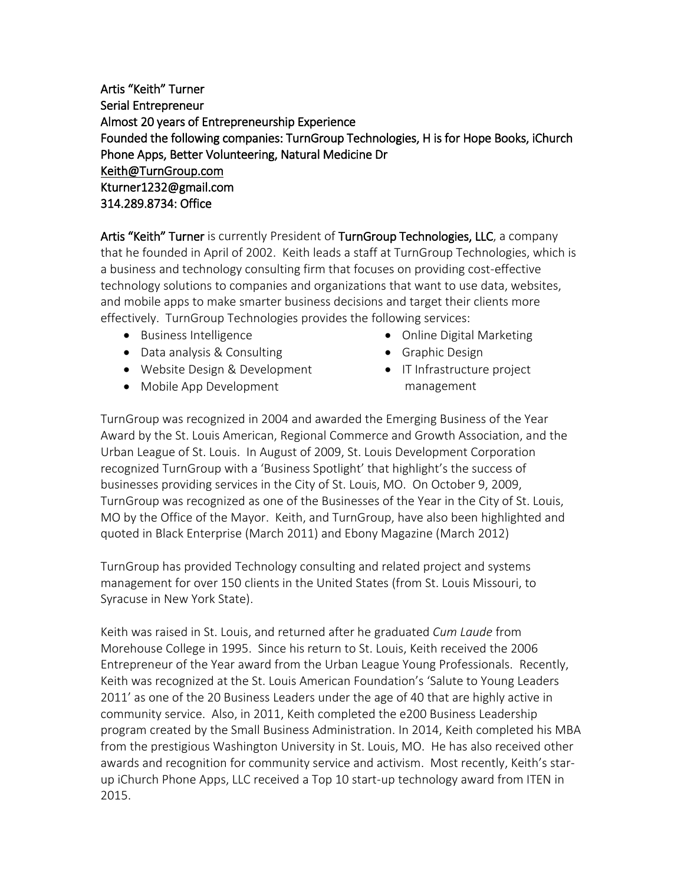Artis "Keith" Turner Serial Entrepreneur Almost 20 years of Entrepreneurship Experience Founded the following companies: TurnGroup Technologies, H is for Hope Books, iChurch Phone Apps, Better Volunteering, Natural Medicine Dr [Keith@TurnGroup.com](mailto:Keith@TurnGroup.com)  Kturner1232@gmail.com 314.289.8734: Office

Artis "Keith" Turner is currently President of TurnGroup Technologies, LLC, a company that he founded in April of 2002. Keith leads a staff at TurnGroup Technologies, which is a business and technology consulting firm that focuses on providing cost-effective technology solutions to companies and organizations that want to use data, websites, and mobile apps to make smarter business decisions and target their clients more effectively. TurnGroup Technologies provides the following services:

- Business Intelligence
- Data analysis & Consulting
- Website Design & Development
- Mobile App Development
- Online Digital Marketing
- Graphic Design
- IT Infrastructure project management

TurnGroup was recognized in 2004 and awarded the Emerging Business of the Year Award by the St. Louis American, Regional Commerce and Growth Association, and the Urban League of St. Louis. In August of 2009, St. Louis Development Corporation recognized TurnGroup with a 'Business Spotlight' that highlight's the success of businesses providing services in the City of St. Louis, MO. On October 9, 2009, TurnGroup was recognized as one of the Businesses of the Year in the City of St. Louis, MO by the Office of the Mayor. Keith, and TurnGroup, have also been highlighted and quoted in Black Enterprise (March 2011) and Ebony Magazine (March 2012)

TurnGroup has provided Technology consulting and related project and systems management for over 150 clients in the United States (from St. Louis Missouri, to Syracuse in New York State).

Keith was raised in St. Louis, and returned after he graduated *Cum Laude* from Morehouse College in 1995. Since his return to St. Louis, Keith received the 2006 Entrepreneur of the Year award from the Urban League Young Professionals. Recently, Keith was recognized at the St. Louis American Foundation's 'Salute to Young Leaders 2011' as one of the 20 Business Leaders under the age of 40 that are highly active in community service. Also, in 2011, Keith completed the e200 Business Leadership program created by the Small Business Administration. In 2014, Keith completed his MBA from the prestigious Washington University in St. Louis, MO. He has also received other awards and recognition for community service and activism. Most recently, Keith's starup iChurch Phone Apps, LLC received a Top 10 start-up technology award from ITEN in 2015.